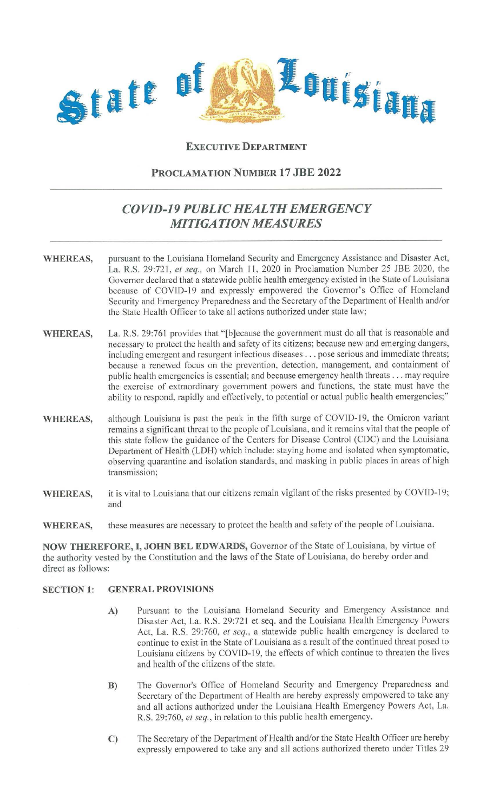

## **EXECUTIVE DEPARTMENT**

**PROCLAMATION NUMBER 17 JBE 2022** 

## *COVID-19 PUBLIC HEALTH EMERGENCY MITIGATION MEASURES*

- **WHEREAS,** pursuant to the Louisiana Homeland Security and Emergency Assistance and Disaster Act, La. R.S. 29:721, *et seq.,* on March **11,** 2020 in Proclamation Number 25 JBE 2020, the Governor declared that a statewide public health emergency existed in the State of Louisiana because of COYID-19 and expressly empowered the Governor's Office of Homeland Security and Emergency Preparedness and the Secretary of the Department of Health and/or the State Health Officer to take all actions authorized under state law;
- WHEREAS, La. R.S. 29:761 provides that "[b]ecause the government must do all that is reasonable and necessary to protect the health and safety of its citizens; because new and emerging dangers, including emergent and resurgent infectious diseases ... pose serious and immediate threats; because a renewed focus on the prevention, detection, management, and containment of public health emergencies is essential; and because emergency health threats ... may require the exercise of extraordinary government powers and functions, the state must have the ability to respond, rapidly and effectively, to potential or actual public health emergencies;"
- **WHEREAS,** although Louisiana is past the peak in the fifth surge of COYID-19, the Omicron variant remains a significant threat to the people of Louisiana, and it remains vital that the people of this state follow the guidance of the Centers for Disease Control (CDC) and the Louisiana Department of Health (LDH) which include: staying home and isolated when symptomatic, observing quarantine and isolation standards, and masking in public places in areas of high transmission;
- **WHEREAS,**  it is vital to Louisiana that our citizens remain vigilant of the risks presented by COVID-19; and
- **WHEREAS,**  these measures are necessary to protect the health and safety of the people of Louisiana.

**NOW THEREFORE, I, JOHN BEL EDWARDS,** Governor of the State of Louisiana, by virtue of the authority vested by the Constitution and the laws of the State of Louisiana, do hereby order and direct as follows:

## **SECTION 1: GENERAL PROVISIONS**

- **A)** Pursuant to the Louisiana Homeland Security and Emergency Assistance and Disaster Act, La. R.S. 29:721 et seq. and the Louisiana Health Emergency Powers Act, La. R.S. 29:760, *et seq.,* a statewide public health emergency is declared to continue to exist in the State of Louisiana as a result of the continued threat posed to Louisiana citizens by COVID-19, the effects of which continue to threaten the lives and health of the citizens of the state.
- **B)** The Governor's Office of Homeland Security and Emergency Preparedness and Secretary of the Department of Health are hereby expressly empowered to take any and all actions authorized under the Louisiana Health Emergency Powers Act, La. R.S. 29:760, *et seq.,* in relation to this public health emergency.
- **C)** The Secretary of the Department of Health and/or the State Health Officer are hereby expressly empowered to take any and all actions authorized thereto under Titles 29